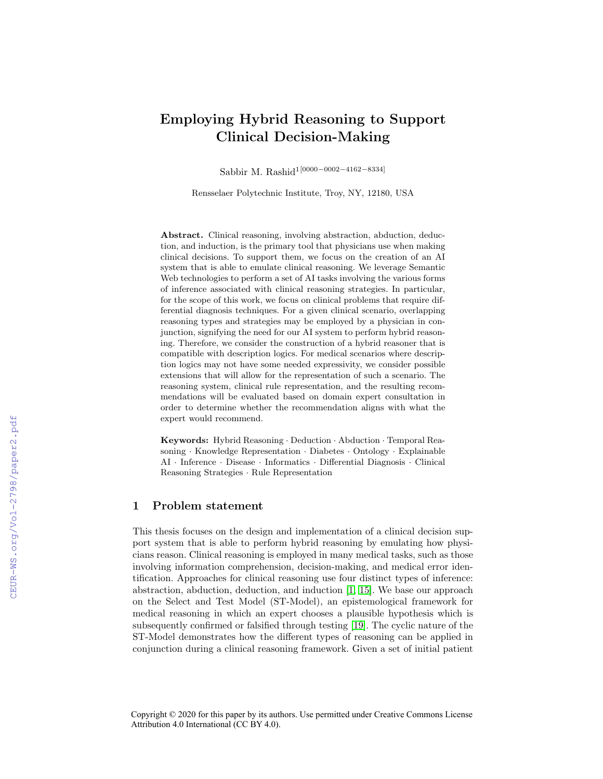# Employing Hybrid Reasoning to Support Clinical Decision-Making

Sabbir M. Rashid1[0000−0002−4162−8334]

Rensselaer Polytechnic Institute, Troy, NY, 12180, USA

Abstract. Clinical reasoning, involving abstraction, abduction, deduction, and induction, is the primary tool that physicians use when making clinical decisions. To support them, we focus on the creation of an AI system that is able to emulate clinical reasoning. We leverage Semantic Web technologies to perform a set of AI tasks involving the various forms of inference associated with clinical reasoning strategies. In particular, for the scope of this work, we focus on clinical problems that require differential diagnosis techniques. For a given clinical scenario, overlapping reasoning types and strategies may be employed by a physician in conjunction, signifying the need for our AI system to perform hybrid reasoning. Therefore, we consider the construction of a hybrid reasoner that is compatible with description logics. For medical scenarios where description logics may not have some needed expressivity, we consider possible extensions that will allow for the representation of such a scenario. The reasoning system, clinical rule representation, and the resulting recommendations will be evaluated based on domain expert consultation in order to determine whether the recommendation aligns with what the expert would recommend.

Keywords: Hybrid Reasoning · Deduction · Abduction · Temporal Reasoning · Knowledge Representation · Diabetes · Ontology · Explainable AI · Inference · Disease · Informatics · Differential Diagnosis · Clinical Reasoning Strategies · Rule Representation

#### 1 Problem statement

This thesis focuses on the design and implementation of a clinical decision support system that is able to perform hybrid reasoning by emulating how physicians reason. Clinical reasoning is employed in many medical tasks, such as those involving information comprehension, decision-making, and medical error identification. Approaches for clinical reasoning use four distinct types of inference: abstraction, abduction, deduction, and induction [\[1,](#page--1-0) [15\]](#page--1-1). We base our approach on the Select and Test Model (ST-Model), an epistemological framework for medical reasoning in which an expert chooses a plausible hypothesis which is subsequently confirmed or falsified through testing [\[19\]](#page--1-2). The cyclic nature of the ST-Model demonstrates how the different types of reasoning can be applied in conjunction during a clinical reasoning framework. Given a set of initial patient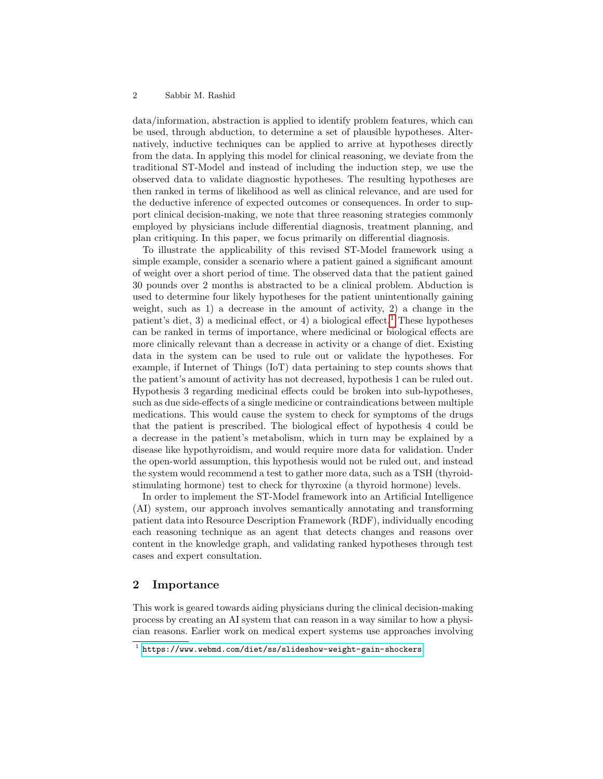#### 2 Sabbir M. Rashid

data/information, abstraction is applied to identify problem features, which can be used, through abduction, to determine a set of plausible hypotheses. Alternatively, inductive techniques can be applied to arrive at hypotheses directly from the data. In applying this model for clinical reasoning, we deviate from the traditional ST-Model and instead of including the induction step, we use the observed data to validate diagnostic hypotheses. The resulting hypotheses are then ranked in terms of likelihood as well as clinical relevance, and are used for the deductive inference of expected outcomes or consequences. In order to support clinical decision-making, we note that three reasoning strategies commonly employed by physicians include differential diagnosis, treatment planning, and plan critiquing. In this paper, we focus primarily on differential diagnosis.

To illustrate the applicability of this revised ST-Model framework using a simple example, consider a scenario where a patient gained a significant amount of weight over a short period of time. The observed data that the patient gained 30 pounds over 2 months is abstracted to be a clinical problem. Abduction is used to determine four likely hypotheses for the patient unintentionally gaining weight, such as 1) a decrease in the amount of activity, 2) a change in the patient's diet, 3) a medicinal effect, or 4) a biological effect.<sup>[1](#page-1-0)</sup> These hypotheses can be ranked in terms of importance, where medicinal or biological effects are more clinically relevant than a decrease in activity or a change of diet. Existing data in the system can be used to rule out or validate the hypotheses. For example, if Internet of Things (IoT) data pertaining to step counts shows that the patient's amount of activity has not decreased, hypothesis 1 can be ruled out. Hypothesis 3 regarding medicinal effects could be broken into sub-hypotheses, such as due side-effects of a single medicine or contraindications between multiple medications. This would cause the system to check for symptoms of the drugs that the patient is prescribed. The biological effect of hypothesis 4 could be a decrease in the patient's metabolism, which in turn may be explained by a disease like hypothyroidism, and would require more data for validation. Under the open-world assumption, this hypothesis would not be ruled out, and instead the system would recommend a test to gather more data, such as a TSH (thyroidstimulating hormone) test to check for thyroxine (a thyroid hormone) levels.

In order to implement the ST-Model framework into an Artificial Intelligence (AI) system, our approach involves semantically annotating and transforming patient data into Resource Description Framework (RDF), individually encoding each reasoning technique as an agent that detects changes and reasons over content in the knowledge graph, and validating ranked hypotheses through test cases and expert consultation.

#### 2 Importance

This work is geared towards aiding physicians during the clinical decision-making process by creating an AI system that can reason in a way similar to how a physician reasons. Earlier work on medical expert systems use approaches involving

<span id="page-1-0"></span><sup>1</sup> <https://www.webmd.com/diet/ss/slideshow-weight-gain-shockers>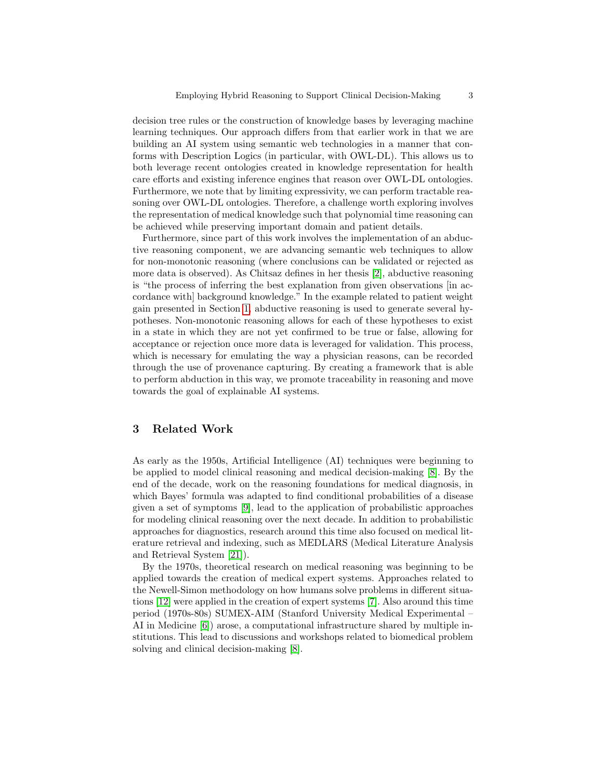decision tree rules or the construction of knowledge bases by leveraging machine learning techniques. Our approach differs from that earlier work in that we are building an AI system using semantic web technologies in a manner that conforms with Description Logics (in particular, with OWL-DL). This allows us to both leverage recent ontologies created in knowledge representation for health care efforts and existing inference engines that reason over OWL-DL ontologies. Furthermore, we note that by limiting expressivity, we can perform tractable reasoning over OWL-DL ontologies. Therefore, a challenge worth exploring involves the representation of medical knowledge such that polynomial time reasoning can be achieved while preserving important domain and patient details.

Furthermore, since part of this work involves the implementation of an abductive reasoning component, we are advancing semantic web techniques to allow for non-monotonic reasoning (where conclusions can be validated or rejected as more data is observed). As Chitsaz defines in her thesis [\[2\]](#page-6-0), abductive reasoning is "the process of inferring the best explanation from given observations [in accordance with] background knowledge." In the example related to patient weight gain presented in Section [1,](#page--1-3) abductive reasoning is used to generate several hypotheses. Non-monotonic reasoning allows for each of these hypotheses to exist in a state in which they are not yet confirmed to be true or false, allowing for acceptance or rejection once more data is leveraged for validation. This process, which is necessary for emulating the way a physician reasons, can be recorded through the use of provenance capturing. By creating a framework that is able to perform abduction in this way, we promote traceability in reasoning and move towards the goal of explainable AI systems.

## 3 Related Work

As early as the 1950s, Artificial Intelligence (AI) techniques were beginning to be applied to model clinical reasoning and medical decision-making [\[8\]](#page-7-0). By the end of the decade, work on the reasoning foundations for medical diagnosis, in which Bayes' formula was adapted to find conditional probabilities of a disease given a set of symptoms [\[9\]](#page-7-1), lead to the application of probabilistic approaches for modeling clinical reasoning over the next decade. In addition to probabilistic approaches for diagnostics, research around this time also focused on medical literature retrieval and indexing, such as MEDLARS (Medical Literature Analysis and Retrieval System [\[21\]](#page-7-2)).

By the 1970s, theoretical research on medical reasoning was beginning to be applied towards the creation of medical expert systems. Approaches related to the Newell-Simon methodology on how humans solve problems in different situations [\[12\]](#page-7-3) were applied in the creation of expert systems [\[7\]](#page-7-4). Also around this time period (1970s-80s) SUMEX-AIM (Stanford University Medical Experimental – AI in Medicine [\[6\]](#page-6-1)) arose, a computational infrastructure shared by multiple institutions. This lead to discussions and workshops related to biomedical problem solving and clinical decision-making [\[8\]](#page-7-0).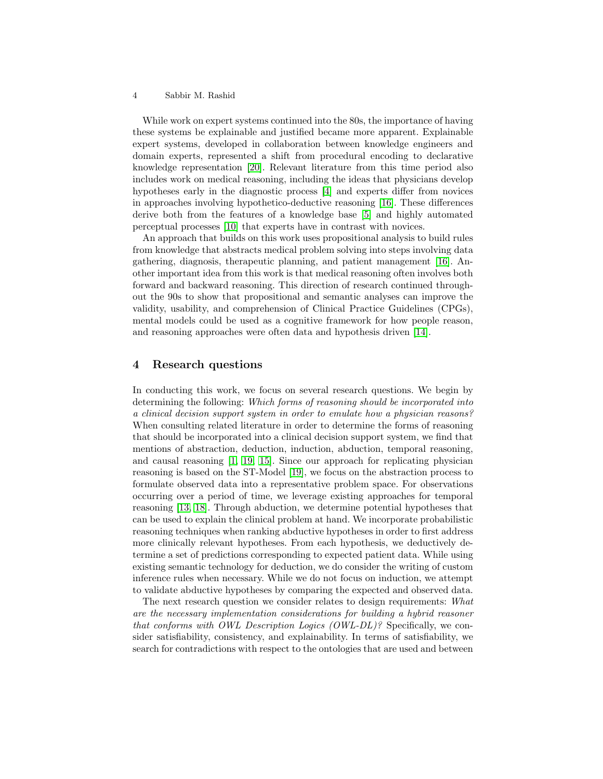#### 4 Sabbir M. Rashid

While work on expert systems continued into the 80s, the importance of having these systems be explainable and justified became more apparent. Explainable expert systems, developed in collaboration between knowledge engineers and domain experts, represented a shift from procedural encoding to declarative knowledge representation [\[20\]](#page-7-5). Relevant literature from this time period also includes work on medical reasoning, including the ideas that physicians develop hypotheses early in the diagnostic process [\[4\]](#page-6-2) and experts differ from novices in approaches involving hypothetico-deductive reasoning [\[16\]](#page-7-6). These differences derive both from the features of a knowledge base [\[5\]](#page-6-3) and highly automated perceptual processes [\[10\]](#page-7-7) that experts have in contrast with novices.

An approach that builds on this work uses propositional analysis to build rules from knowledge that abstracts medical problem solving into steps involving data gathering, diagnosis, therapeutic planning, and patient management [\[16\]](#page-7-6). Another important idea from this work is that medical reasoning often involves both forward and backward reasoning. This direction of research continued throughout the 90s to show that propositional and semantic analyses can improve the validity, usability, and comprehension of Clinical Practice Guidelines (CPGs), mental models could be used as a cognitive framework for how people reason, and reasoning approaches were often data and hypothesis driven [\[14\]](#page-7-8).

#### <span id="page-3-0"></span>4 Research questions

In conducting this work, we focus on several research questions. We begin by determining the following: Which forms of reasoning should be incorporated into a clinical decision support system in order to emulate how a physician reasons? When consulting related literature in order to determine the forms of reasoning that should be incorporated into a clinical decision support system, we find that mentions of abstraction, deduction, induction, abduction, temporal reasoning, and causal reasoning [\[1,](#page-6-4) [19,](#page-7-9) [15\]](#page-7-10). Since our approach for replicating physician reasoning is based on the ST-Model [\[19\]](#page-7-9), we focus on the abstraction process to formulate observed data into a representative problem space. For observations occurring over a period of time, we leverage existing approaches for temporal reasoning [\[13,](#page-7-11) [18\]](#page-7-12). Through abduction, we determine potential hypotheses that can be used to explain the clinical problem at hand. We incorporate probabilistic reasoning techniques when ranking abductive hypotheses in order to first address more clinically relevant hypotheses. From each hypothesis, we deductively determine a set of predictions corresponding to expected patient data. While using existing semantic technology for deduction, we do consider the writing of custom inference rules when necessary. While we do not focus on induction, we attempt to validate abductive hypotheses by comparing the expected and observed data.

The next research question we consider relates to design requirements: What are the necessary implementation considerations for building a hybrid reasoner that conforms with OWL Description Logics (OWL-DL)? Specifically, we consider satisfiability, consistency, and explainability. In terms of satisfiability, we search for contradictions with respect to the ontologies that are used and between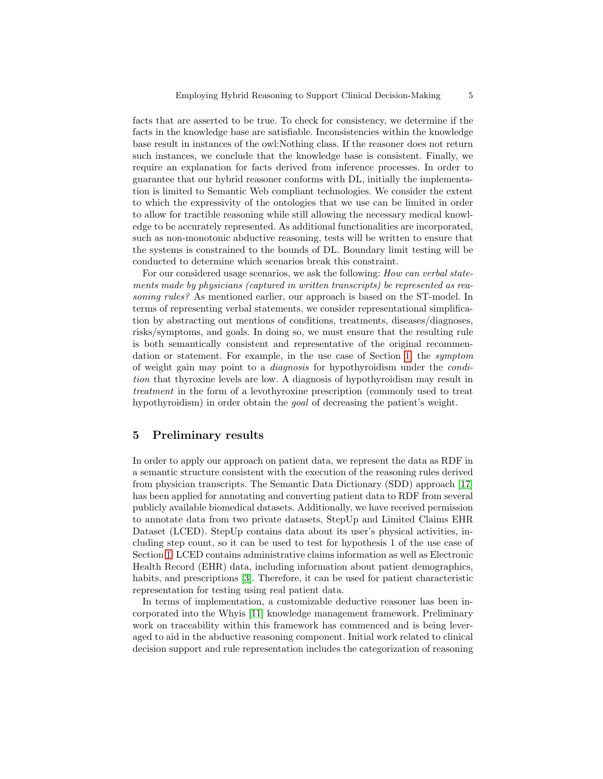facts that are asserted to be true. To check for consistency, we determine if the facts in the knowledge base are satisfiable. Inconsistencies within the knowledge base result in instances of the owl:Nothing class. If the reasoner does not return such instances, we conclude that the knowledge base is consistent. Finally, we require an explanation for facts derived from inference processes. In order to guarantee that our hybrid reasoner conforms with DL, initially the implementation is limited to Semantic Web compliant technologies. We consider the extent to which the expressivity of the ontologies that we use can be limited in order to allow for tractible reasoning while still allowing the necessary medical knowledge to be accurately represented. As additional functionalities are incorporated, such as non-monotonic abductive reasoning, tests will be written to ensure that the systems is constrained to the bounds of DL. Boundary limit testing will be conducted to determine which scenarios break this constraint.

For our considered usage scenarios, we ask the following: How can verbal statements made by physicians (captured in written transcripts) be represented as reasoning rules? As mentioned earlier, our approach is based on the ST-model. In terms of representing verbal statements, we consider representational simplification by abstracting out mentions of conditions, treatments, diseases/diagnoses, risks/symptoms, and goals. In doing so, we must ensure that the resulting rule is both semantically consistent and representative of the original recommendation or statement. For example, in the use case of Section [1,](#page--1-3) the symptom of weight gain may point to a diagnosis for hypothyroidism under the condition that thyroxine levels are low. A diagnosis of hypothyroidism may result in treatment in the form of a levothyroxine prescription (commonly used to treat hypothyroidism) in order obtain the goal of decreasing the patient's weight.

#### 5 Preliminary results

In order to apply our approach on patient data, we represent the data as RDF in a semantic structure consistent with the execution of the reasoning rules derived from physician transcripts. The Semantic Data Dictionary (SDD) approach [\[17\]](#page-7-13) has been applied for annotating and converting patient data to RDF from several publicly available biomedical datasets. Additionally, we have received permission to annotate data from two private datasets, StepUp and Limited Claims EHR Dataset (LCED). StepUp contains data about its user's physical activities, including step count, so it can be used to test for hypothesis 1 of the use case of Section [1.](#page--1-3) LCED contains administrative claims information as well as Electronic Health Record (EHR) data, including information about patient demographics, habits, and prescriptions [\[3\]](#page-6-5). Therefore, it can be used for patient characteristic representation for testing using real patient data.

In terms of implementation, a customizable deductive reasoner has been incorporated into the Whyis [\[11\]](#page-7-14) knowledge management framework. Preliminary work on traceability within this framework has commenced and is being leveraged to aid in the abductive reasoning component. Initial work related to clinical decision support and rule representation includes the categorization of reasoning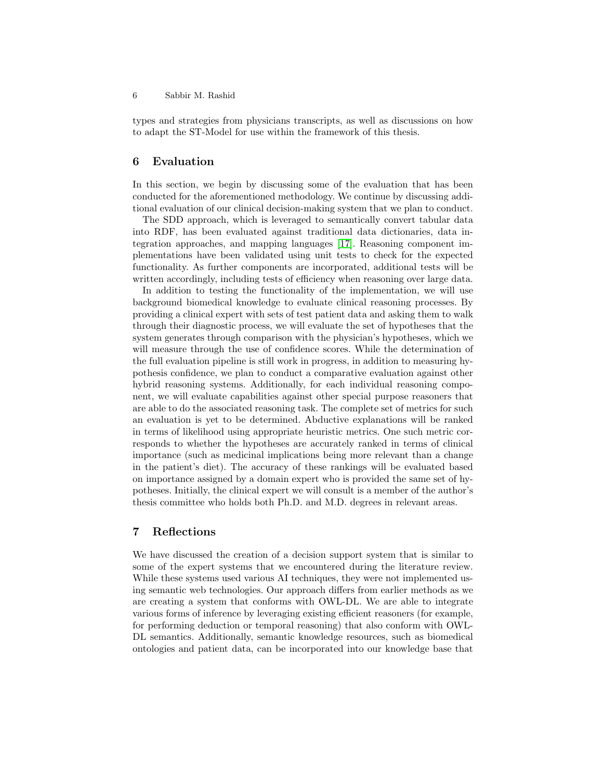types and strategies from physicians transcripts, as well as discussions on how to adapt the ST-Model for use within the framework of this thesis.

#### 6 Evaluation

In this section, we begin by discussing some of the evaluation that has been conducted for the aforementioned methodology. We continue by discussing additional evaluation of our clinical decision-making system that we plan to conduct.

The SDD approach, which is leveraged to semantically convert tabular data into RDF, has been evaluated against traditional data dictionaries, data integration approaches, and mapping languages [\[17\]](#page-7-13). Reasoning component implementations have been validated using unit tests to check for the expected functionality. As further components are incorporated, additional tests will be written accordingly, including tests of efficiency when reasoning over large data.

In addition to testing the functionality of the implementation, we will use background biomedical knowledge to evaluate clinical reasoning processes. By providing a clinical expert with sets of test patient data and asking them to walk through their diagnostic process, we will evaluate the set of hypotheses that the system generates through comparison with the physician's hypotheses, which we will measure through the use of confidence scores. While the determination of the full evaluation pipeline is still work in progress, in addition to measuring hypothesis confidence, we plan to conduct a comparative evaluation against other hybrid reasoning systems. Additionally, for each individual reasoning component, we will evaluate capabilities against other special purpose reasoners that are able to do the associated reasoning task. The complete set of metrics for such an evaluation is yet to be determined. Abductive explanations will be ranked in terms of likelihood using appropriate heuristic metrics. One such metric corresponds to whether the hypotheses are accurately ranked in terms of clinical importance (such as medicinal implications being more relevant than a change in the patient's diet). The accuracy of these rankings will be evaluated based on importance assigned by a domain expert who is provided the same set of hypotheses. Initially, the clinical expert we will consult is a member of the author's thesis committee who holds both Ph.D. and M.D. degrees in relevant areas.

### 7 Reflections

We have discussed the creation of a decision support system that is similar to some of the expert systems that we encountered during the literature review. While these systems used various AI techniques, they were not implemented using semantic web technologies. Our approach differs from earlier methods as we are creating a system that conforms with OWL-DL. We are able to integrate various forms of inference by leveraging existing efficient reasoners (for example, for performing deduction or temporal reasoning) that also conform with OWL-DL semantics. Additionally, semantic knowledge resources, such as biomedical ontologies and patient data, can be incorporated into our knowledge base that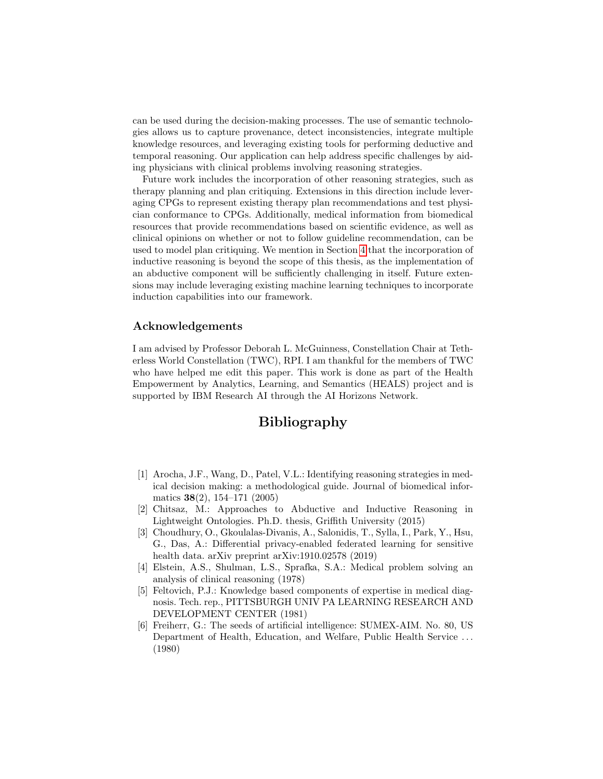can be used during the decision-making processes. The use of semantic technologies allows us to capture provenance, detect inconsistencies, integrate multiple knowledge resources, and leveraging existing tools for performing deductive and temporal reasoning. Our application can help address specific challenges by aiding physicians with clinical problems involving reasoning strategies.

Future work includes the incorporation of other reasoning strategies, such as therapy planning and plan critiquing. Extensions in this direction include leveraging CPGs to represent existing therapy plan recommendations and test physician conformance to CPGs. Additionally, medical information from biomedical resources that provide recommendations based on scientific evidence, as well as clinical opinions on whether or not to follow guideline recommendation, can be used to model plan critiquing. We mention in Section [4](#page-3-0) that the incorporation of inductive reasoning is beyond the scope of this thesis, as the implementation of an abductive component will be sufficiently challenging in itself. Future extensions may include leveraging existing machine learning techniques to incorporate induction capabilities into our framework.

#### Acknowledgements

I am advised by Professor Deborah L. McGuinness, Constellation Chair at Tetherless World Constellation (TWC), RPI. I am thankful for the members of TWC who have helped me edit this paper. This work is done as part of the Health Empowerment by Analytics, Learning, and Semantics (HEALS) project and is supported by IBM Research AI through the AI Horizons Network.

## Bibliography

- <span id="page-6-4"></span>[1] Arocha, J.F., Wang, D., Patel, V.L.: Identifying reasoning strategies in medical decision making: a methodological guide. Journal of biomedical informatics 38(2), 154–171 (2005)
- <span id="page-6-0"></span>[2] Chitsaz, M.: Approaches to Abductive and Inductive Reasoning in Lightweight Ontologies. Ph.D. thesis, Griffith University (2015)
- <span id="page-6-5"></span>[3] Choudhury, O., Gkoulalas-Divanis, A., Salonidis, T., Sylla, I., Park, Y., Hsu, G., Das, A.: Differential privacy-enabled federated learning for sensitive health data. arXiv preprint arXiv:1910.02578 (2019)
- <span id="page-6-2"></span>[4] Elstein, A.S., Shulman, L.S., Sprafka, S.A.: Medical problem solving an analysis of clinical reasoning (1978)
- <span id="page-6-3"></span>[5] Feltovich, P.J.: Knowledge based components of expertise in medical diagnosis. Tech. rep., PITTSBURGH UNIV PA LEARNING RESEARCH AND DEVELOPMENT CENTER (1981)
- <span id="page-6-1"></span>[6] Freiherr, G.: The seeds of artificial intelligence: SUMEX-AIM. No. 80, US Department of Health, Education, and Welfare, Public Health Service . . . (1980)